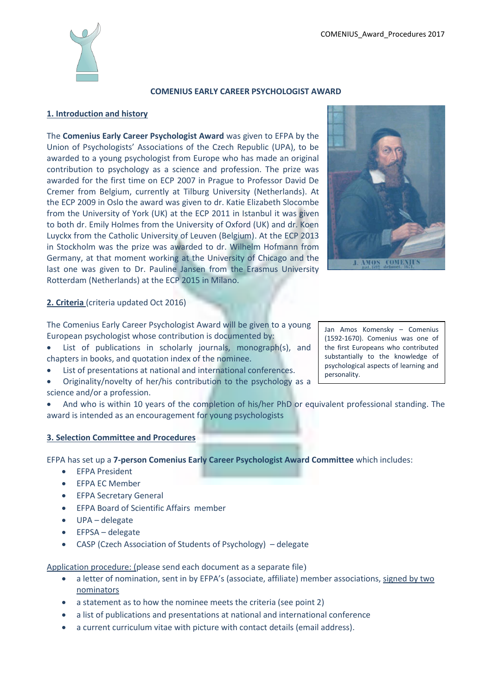

## **COMENIUS EARLY CAREER PSYCHOLOGIST AWARD**

# **1. Introduction and history**

The **Comenius Early Career Psychologist Award** was given to EFPA by the Union of Psychologists' Associations of the Czech Republic (UPA), to be awarded to a young psychologist from Europe who has made an original contribution to psychology as a science and profession. The prize was awarded for the first time on ECP 2007 in Prague to Professor David De Cremer from Belgium, currently at Tilburg University (Netherlands). At the ECP 2009 in Oslo the award was given to dr. Katie Elizabeth Slocombe from the University of York (UK) at the ECP 2011 in Istanbul it was given to both dr. Emily Holmes from the University of Oxford (UK) and dr. Koen Luyckx from the Catholic University of Leuven (Belgium). At the ECP 2013 in Stockholm was the prize was awarded to dr. Wilhelm Hofmann from Germany, at that moment working at the University of Chicago and the last one was given to Dr. Pauline Jansen from the Erasmus University Rotterdam (Netherlands) at the ECP 2015 in Milano.



# **2. Criteria** (criteria updated Oct 2016)

The Comenius Early Career Psychologist Award will be given to a young European psychologist whose contribution is documented by:

- List of publications in scholarly journals, monograph(s), and chapters in books, and quotation index of the nominee.
- List of presentations at national and international conferences.
- Originality/novelty of her/his contribution to the psychology as a science and/or a profession.
- And who is within 10 years of the completion of his/her PhD or equivalent professional standing. The award is intended as an encouragement for young psychologists

## **3. Selection Committee and Procedures**

EFPA has set up a **7-person Comenius Early Career Psychologist Award Committee** which includes:

- EFPA President
- EFPA EC Member
- **•** EFPA Secretary General
- EFPA Board of Scientific Affairs member
- UPA delegate
- EFPSA delegate
- CASP (Czech Association of Students of Psychology) delegate

Application procedure: (please send each document as a separate file)

- a letter of nomination, sent in by EFPA's (associate, affiliate) member associations, signed by two nominators
- a statement as to how the nominee meets the criteria (see point 2)
- a list of publications and presentations at national and international conference
- a current curriculum vitae with picture with contact details (email address).

Jan Amos Komensky – Comenius (1592-1670). Comenius was one of the first Europeans who contributed substantially to the knowledge of psychological aspects of learning and personality.